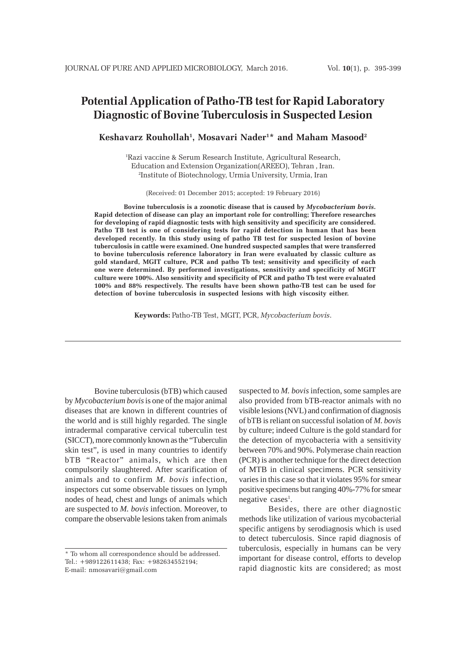# **Potential Application of Patho-TB test for Rapid Laboratory Diagnostic of Bovine Tuberculosis in Suspected Lesion**

**Keshavarz Rouhollah1 , Mosavari Nader1 \* and Maham Masood2**

1 Razi vaccine & Serum Research Institute, Agricultural Research, Education and Extension Organization(AREEO), Tehran , Iran. 2 Institute of Biotechnology, Urmia University, Urmia, Iran

(Received: 01 December 2015; accepted: 19 February 2016)

**Bovine tuberculosis is a zoonotic disease that is caused by** *Mycobacterium bovis***. Rapid detection of disease can play an important role for controlling; Therefore researches for developing of rapid diagnostic tests with high sensitivity and specificity are considered. Patho TB test is one of considering tests for rapid detection in human that has been developed recently. In this study using of patho TB test for suspected lesion of bovine tuberculosis in cattle were examined. One hundred suspected samples that were transferred to bovine tuberculosis reference laboratory in Iran were evaluated by classic culture as gold standard, MGIT culture, PCR and patho Tb test; sensitivity and specificity of each one were determined. By performed investigations, sensitivity and specificity of MGIT culture were 100%. Also sensitivity and specificity of PCR and patho Tb test were evaluated 100% and 88% respectively. The results have been shown patho-TB test can be used for detection of bovine tuberculosis in suspected lesions with high viscosity either.**

**Keywords:** Patho-TB Test, MGIT, PCR, *Mycobacterium bovis*.

Bovine tuberculosis (bTB) which caused by *Mycobacterium bovis* is one of the major animal diseases that are known in different countries of the world and is still highly regarded. The single intradermal comparative cervical tuberculin test (SICCT), more commonly known as the "Tuberculin skin test", is used in many countries to identify bTB "Reactor" animals, which are then compulsorily slaughtered. After scarification of animals and to confirm *M. bovis* infection, inspectors cut some observable tissues on lymph nodes of head, chest and lungs of animals which are suspected to *M. bovis* infection. Moreover, to compare the observable lesions taken from animals

suspected to *M. bovis* infection, some samples are also provided from bTB-reactor animals with no visible lesions (NVL) and confirmation of diagnosis of bTB is reliant on successful isolation of *M. bovis* by culture; indeed Culture is the gold standard for the detection of mycobacteria with a sensitivity between 70% and 90%. Polymerase chain reaction (PCR) is another technique for the direct detection of MTB in clinical specimens. PCR sensitivity varies in this case so that it violates 95% for smear positive specimens but ranging 40%-77% for smear negative cases<sup>1</sup>.

Besides, there are other diagnostic methods like utilization of various mycobacterial specific antigens by serodiagnosis which is used to detect tuberculosis. Since rapid diagnosis of tuberculosis, especially in humans can be very important for disease control, efforts to develop rapid diagnostic kits are considered; as most

<sup>\*</sup> To whom all correspondence should be addressed. Tel.: +989122611438; Fax: +982634552194; E-mail: nmosavari@gmail.com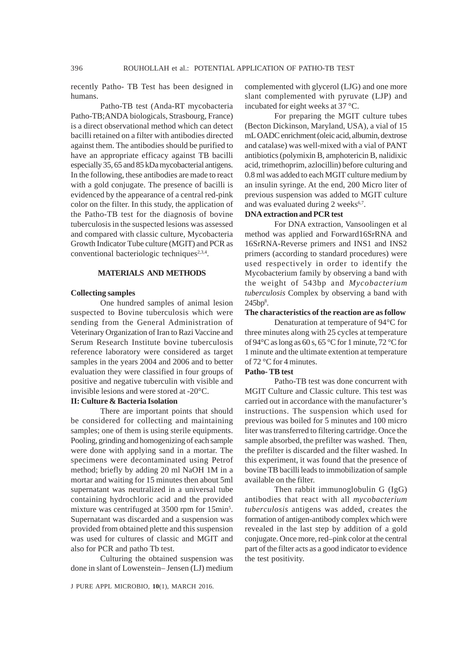recently Patho- TB Test has been designed in humans.

Patho-TB test (Anda-RT mycobacteria Patho-TB;ANDA biologicals, Strasbourg, France) is a direct observational method which can detect bacilli retained on a filter with antibodies directed against them. The antibodies should be purified to have an appropriate efficacy against TB bacilli especially 35, 65 and 85 kDa mycobacterial antigens. In the following, these antibodies are made to react with a gold conjugate. The presence of bacilli is evidenced by the appearance of a central red-pink color on the filter. In this study, the application of the Patho-TB test for the diagnosis of bovine tuberculosis in the suspected lesions was assessed and compared with classic culture, Mycobacteria Growth Indicator Tube culture (MGIT) and PCR as conventional bacteriologic techniques<sup>2,3,4</sup>.

# **MATERIALS AND METHODS**

#### **Collecting samples**

One hundred samples of animal lesion suspected to Bovine tuberculosis which were sending from the General Administration of Veterinary Organization of Iran to Razi Vaccine and Serum Research Institute bovine tuberculosis reference laboratory were considered as target samples in the years 2004 and 2006 and to better evaluation they were classified in four groups of positive and negative tuberculin with visible and invisible lesions and were stored at -20°C.

# **II: Culture & Bacteria Isolation**

There are important points that should be considered for collecting and maintaining samples; one of them is using sterile equipments. Pooling, grinding and homogenizing of each sample were done with applying sand in a mortar. The specimens were decontaminated using Petrof method; briefly by adding 20 ml NaOH 1M in a mortar and waiting for 15 minutes then about 5ml supernatant was neutralized in a universal tube containing hydrochloric acid and the provided mixture was centrifuged at 3500 rpm for 15min<sup>5</sup>. Supernatant was discarded and a suspension was provided from obtained plette and this suspension was used for cultures of classic and MGIT and also for PCR and patho Tb test.

Culturing the obtained suspension was done in slant of Lowenstein– Jensen (LJ) medium

complemented with glycerol (LJG) and one more slant complemented with pyruvate (LJP) and incubated for eight weeks at 37 °C.

For preparing the MGIT culture tubes (Becton Dickinson, Maryland, USA), a vial of 15 mL OADC enrichment (oleic acid, albumin, dextrose and catalase) was well-mixed with a vial of PANT antibiotics (polymixin B, amphotericin B, nalidixic acid, trimethoprim, azlocillin) before culturing and 0.8 ml was added to each MGIT culture medium by an insulin syringe. At the end, 200 Micro liter of previous suspension was added to MGIT culture and was evaluated during 2 weeks<sup>6,7</sup>.

#### **DNA extraction and PCR test**

For DNA extraction, Vansoolingen et al method was applied and Forward16SrRNA and 16SrRNA-Reverse primers and INS1 and INS2 primers (according to standard procedures) were used respectively in order to identify the Mycobacterium family by observing a band with the weight of 543bp and *Mycobacterium tuberculosis* Complex by observing a band with 245bp8 .

# **The characteristics of the reaction are as follow**

Denaturation at temperature of 94°C for three minutes along with 25 cycles at temperature of 94°C as long as 60 s, 65 °C for 1 minute, 72 °C for 1 minute and the ultimate extention at temperature of 72 °C for 4 minutes.

# **Patho- TB test**

Patho-TB test was done concurrent with MGIT Culture and Classic culture. This test was carried out in accordance with the manufacturer's instructions. The suspension which used for previous was boiled for 5 minutes and 100 micro liter was transferred to filtering cartridge. Once the sample absorbed, the prefilter was washed. Then, the prefilter is discarded and the filter washed. In this experiment, it was found that the presence of bovine TB bacilli leads to immobilization of sample available on the filter.

Then rabbit immunoglobulin G (IgG) antibodies that react with all *mycobacterium tuberculosis* antigens was added, creates the formation of antigen-antibody complex which were revealed in the last step by addition of a gold conjugate. Once more, red–pink color at the central part of the filter acts as a good indicator to evidence the test positivity.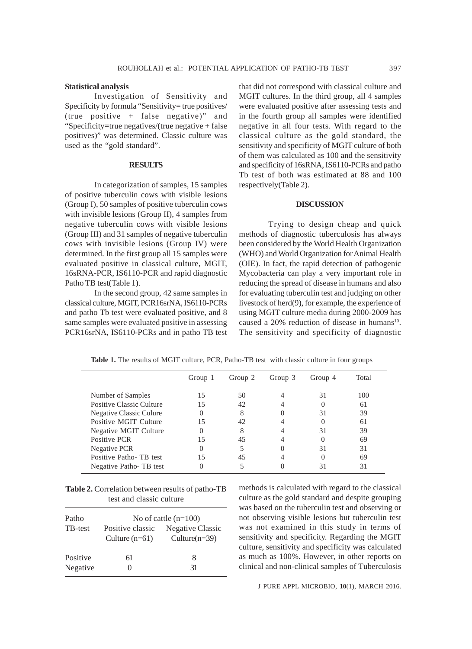#### **Statistical analysis**

Investigation of Sensitivity and Specificity by formula "Sensitivity= true positives/ (true positive + false negative)" and "Specificity=true negatives/(true negative + false positives)" was determined. Classic culture was used as the "gold standard".

#### **RESULTS**

In categorization of samples, 15 samples of positive tuberculin cows with visible lesions (Group I), 50 samples of positive tuberculin cows with invisible lesions (Group II), 4 samples from negative tuberculin cows with visible lesions (Group III) and 31 samples of negative tuberculin cows with invisible lesions (Group IV) were determined. In the first group all 15 samples were evaluated positive in classical culture, MGIT, 16sRNA-PCR, IS6110-PCR and rapid diagnostic Patho TB test(Table 1).

In the second group, 42 same samples in classical culture, MGIT, PCR16srNA, IS6110-PCRs and patho Tb test were evaluated positive, and 8 same samples were evaluated positive in assessing PCR16srNA, IS6110-PCRs and in patho TB test that did not correspond with classical culture and MGIT cultures. In the third group, all 4 samples were evaluated positive after assessing tests and in the fourth group all samples were identified negative in all four tests. With regard to the classical culture as the gold standard, the sensitivity and specificity of MGIT culture of both of them was calculated as 100 and the sensitivity and specificity of 16sRNA, IS6110-PCRs and patho Tb test of both was estimated at 88 and 100 respectively(Table 2).

#### **DISCUSSION**

Trying to design cheap and quick methods of diagnostic tuberculosis has always been considered by the World Health Organization (WHO) and World Organization for Animal Health (OIE). In fact, the rapid detection of pathogenic Mycobacteria can play a very important role in reducing the spread of disease in humans and also for evaluating tuberculin test and judging on other livestock of herd(9), for example, the experience of using MGIT culture media during 2000-2009 has caused a 20% reduction of disease in humans<sup>10</sup>. The sensitivity and specificity of diagnostic

|                          | Group 1 | Group 2 | Group 3 | Group 4 | Total |
|--------------------------|---------|---------|---------|---------|-------|
| Number of Samples        |         | 50      |         | 31      | 100   |
| Positive Classic Culture | 15      | 42      |         |         | 61    |
| Negative Classic Culure  |         |         |         | 31      | 39    |
| Positive MGIT Culture    | 15      | 42      |         |         | 61    |
| Negative MGIT Culture    |         |         |         | 31      | 39    |
| Positive PCR             | 15      | 45      |         |         | 69    |
| Negative PCR             |         |         |         | 31      | 31    |
| Positive Patho-TB test   |         | 45      |         |         | 69    |
| Negative Patho-TB test   |         |         |         | 31      | 31    |

Table 1. The results of MGIT culture, PCR, Patho-TB test with classic culture in four groups

**Table 2.** Correlation between results of patho-TB test and classic culture

| Patho                | No of cattle $(n=100)$               |                                      |  |  |
|----------------------|--------------------------------------|--------------------------------------|--|--|
| <b>TB-test</b>       | Positive classic<br>Culture $(n=61)$ | Negative Classic<br>Culture $(n=39)$ |  |  |
| Positive<br>Negative | 61                                   | x<br>31                              |  |  |

methods is calculated with regard to the classical culture as the gold standard and despite grouping was based on the tuberculin test and observing or not observing visible lesions but tuberculin test was not examined in this study in terms of sensitivity and specificity. Regarding the MGIT culture, sensitivity and specificity was calculated as much as 100%. However, in other reports on clinical and non-clinical samples of Tuberculosis

J PURE APPL MICROBIO*,* **10**(1), MARCH 2016.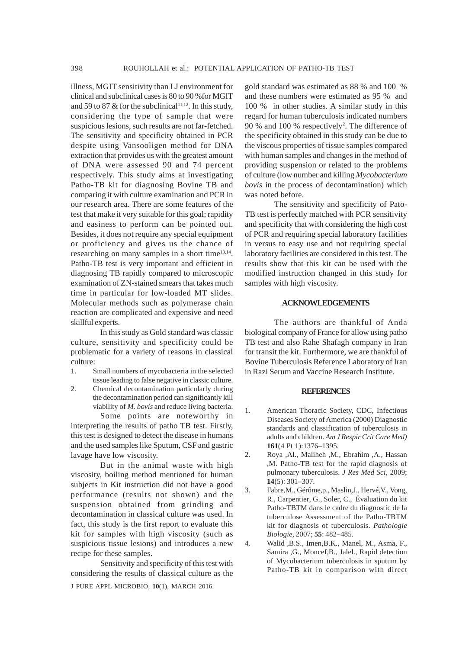illness, MGIT sensitivity than LJ environment for clinical and subclinical cases is 80 to 90 %for MGIT and 59 to 87  $&$  for the subclinical<sup>11,12</sup>. In this study, considering the type of sample that were suspicious lesions, such results are not far-fetched. The sensitivity and specificity obtained in PCR despite using Vansooligen method for DNA extraction that provides us with the greatest amount of DNA were assessed 90 and 74 percent respectively. This study aims at investigating Patho-TB kit for diagnosing Bovine TB and comparing it with culture examination and PCR in our research area. There are some features of the test that make it very suitable for this goal; rapidity and easiness to perform can be pointed out. Besides, it does not require any special equipment or proficiency and gives us the chance of researching on many samples in a short time $13,14$ . Patho-TB test is very important and efficient in diagnosing TB rapidly compared to microscopic examination of ZN-stained smears that takes much time in particular for low-loaded MT slides. Molecular methods such as polymerase chain reaction are complicated and expensive and need skillful experts.

In this study as Gold standard was classic culture, sensitivity and specificity could be problematic for a variety of reasons in classical culture:

- 1. Small numbers of mycobacteria in the selected tissue leading to false negative in classic culture.
- 2. Chemical decontamination particularly during the decontamination period can significantly kill viability of *M. bovis* and reduce living bacteria.

Some points are noteworthy in interpreting the results of patho TB test. Firstly, this test is designed to detect the disease in humans and the used samples like Sputum, CSF and gastric lavage have low viscosity.

But in the animal waste with high viscosity, boiling method mentioned for human subjects in Kit instruction did not have a good performance (results not shown) and the suspension obtained from grinding and decontamination in classical culture was used. In fact, this study is the first report to evaluate this kit for samples with high viscosity (such as suspicious tissue lesions) and introduces a new recipe for these samples.

J PURE APPL MICROBIO*,* **10**(1), MARCH 2016. Sensitivity and specificity of this test with considering the results of classical culture as the

gold standard was estimated as 88 % and 100 % and these numbers were estimated as 95 % and 100 % in other studies. A similar study in this regard for human tuberculosis indicated numbers 90 % and 100 % respectively<sup>2</sup>. The difference of the specificity obtained in this study can be due to the viscous properties of tissue samples compared with human samples and changes in the method of providing suspension or related to the problems of culture (low number and killing *Mycobacterium bovis* in the process of decontamination) which was noted before.

The sensitivity and specificity of Pato-TB test is perfectly matched with PCR sensitivity and specificity that with considering the high cost of PCR and requiring special laboratory facilities in versus to easy use and not requiring special laboratory facilities are considered in this test. The results show that this kit can be used with the modified instruction changed in this study for samples with high viscosity.

# **ACKNOWLEDGEMENTS**

The authors are thankful of Anda biological company of France for allow using patho TB test and also Rahe Shafagh company in Iran for transit the kit. Furthermore, we are thankful of Bovine Tuberculosis Reference Laboratory of Iran in Razi Serum and Vaccine Research Institute.

#### **REFERENCES**

- 1. American Thoracic Society, CDC, Infectious Diseases Society of America (2000) Diagnostic standards and classification of tuberculosis in adults and children. *Am J Respir Crit Care Med)* **161**(4 Pt 1):1376–1395.
- 2. Roya ,Al., Maliheh ,M., Ebrahim ,A., Hassan ,M. Patho-TB test for the rapid diagnosis of pulmonary tuberculosis. *J Res Med Sci,* 2009; **14**(5): 301–307.
- 3. Fabre,M., Gérôme,p., Maslin,J., Hervé,V., Vong, R., Carpentier, G., Soler, C., Évaluation du kit Patho-TBTM dans le cadre du diagnostic de la tuberculose Assessment of the Patho-TBTM kit for diagnosis of tuberculosis. *Pathologie Biologie,* 2007; **55**: 482–485.
- 4. Walid ,B.S., Imen,B.K., Manel, M., Asma, F., Samira ,G., Moncef,B., Jalel., Rapid detection of Mycobacterium tuberculosis in sputum by Patho-TB kit in comparison with direct